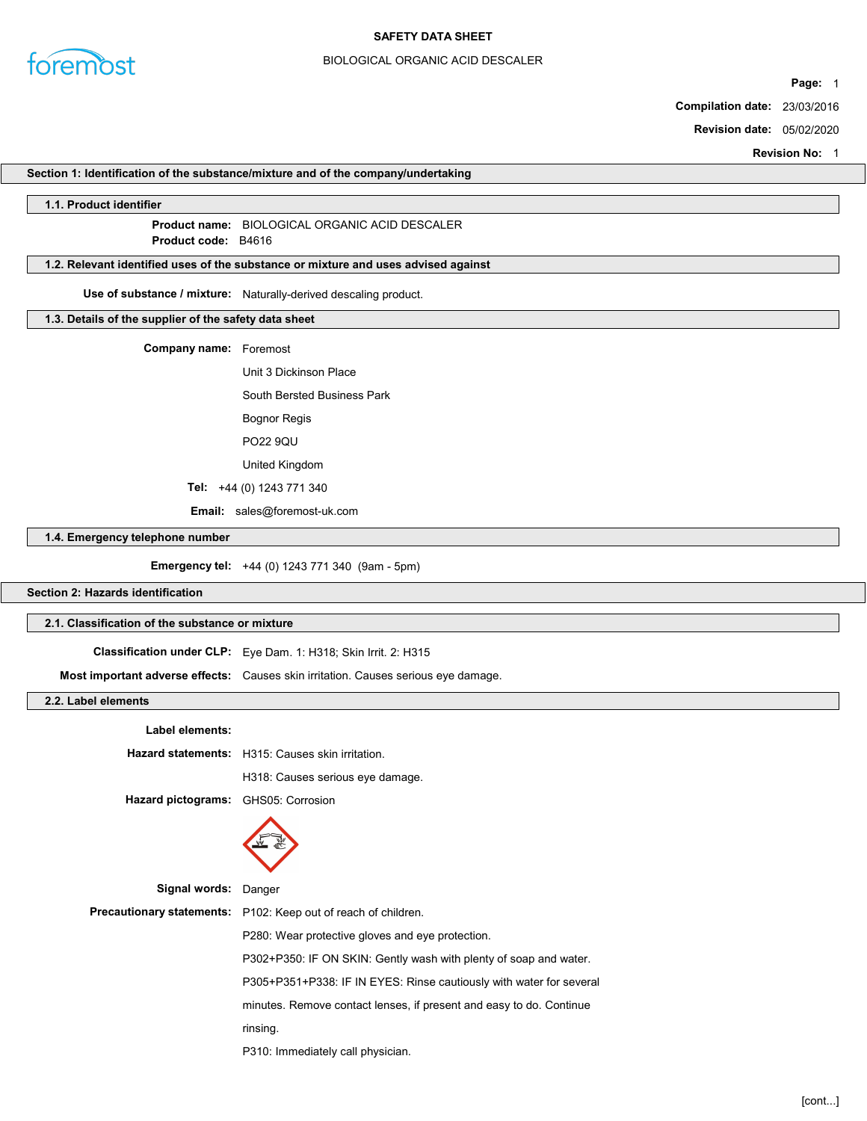

## BIOLOGICAL ORGANIC ACID DESCALER

Page: 1

Compilation date: 23/03/2016

Revision date: 05/02/2020

Revision No: 1

## Section 1: Identification of the substance/mixture and of the company/undertaking

## 1.1. Product identifier

Product name: BIOLOGICAL ORGANIC ACID DESCALER Product **code**: B4616

## 1.2. Relevant identified uses of the substance or mixture and uses advised against

Use of substance / mixture: Naturally-derived descaling product.

## 1.3. Details of the supplier of the safety data sheet

Company name: Foremost

Unit 3 Dickinson Place

South Bersted Business Park

Bognor Regis

PO22 9QU

United Kingdom

Tel: +44 (0) 1243 771 340

Email: sales@foremost-uk.com

## 1.4. Emergency telephone number

Emergency tel: +44 (0) 1243 771 340 (9am - 5pm)

# Section 2: Hazards identification

## 2.1. Classification of the substance or mixture

Classification under CLP: Eye Dam. 1: H318; Skin Irrit. 2: H315 Most important adverse effects: Causes skin irritation. Causes serious eye damage.

## 2.2. Label elements

| Label elements:                     |                                                                       |
|-------------------------------------|-----------------------------------------------------------------------|
|                                     | Hazard statements: H315: Causes skin irritation.                      |
|                                     | H318: Causes serious eye damage.                                      |
| Hazard pictograms: GHS05: Corrosion |                                                                       |
|                                     |                                                                       |
| Signal words: Danger                |                                                                       |
|                                     | <b>Precautionary statements:</b> P102: Keep out of reach of children. |
|                                     | P280: Wear protective gloves and eye protection.                      |
|                                     | P302+P350: IF ON SKIN: Gently wash with plenty of soap and water.     |
|                                     | P305+P351+P338: IF IN EYES: Rinse cautiously with water for several   |
|                                     | minutes. Remove contact lenses, if present and easy to do. Continue   |
|                                     | rinsing.                                                              |
|                                     | P310: Immediately call physician.                                     |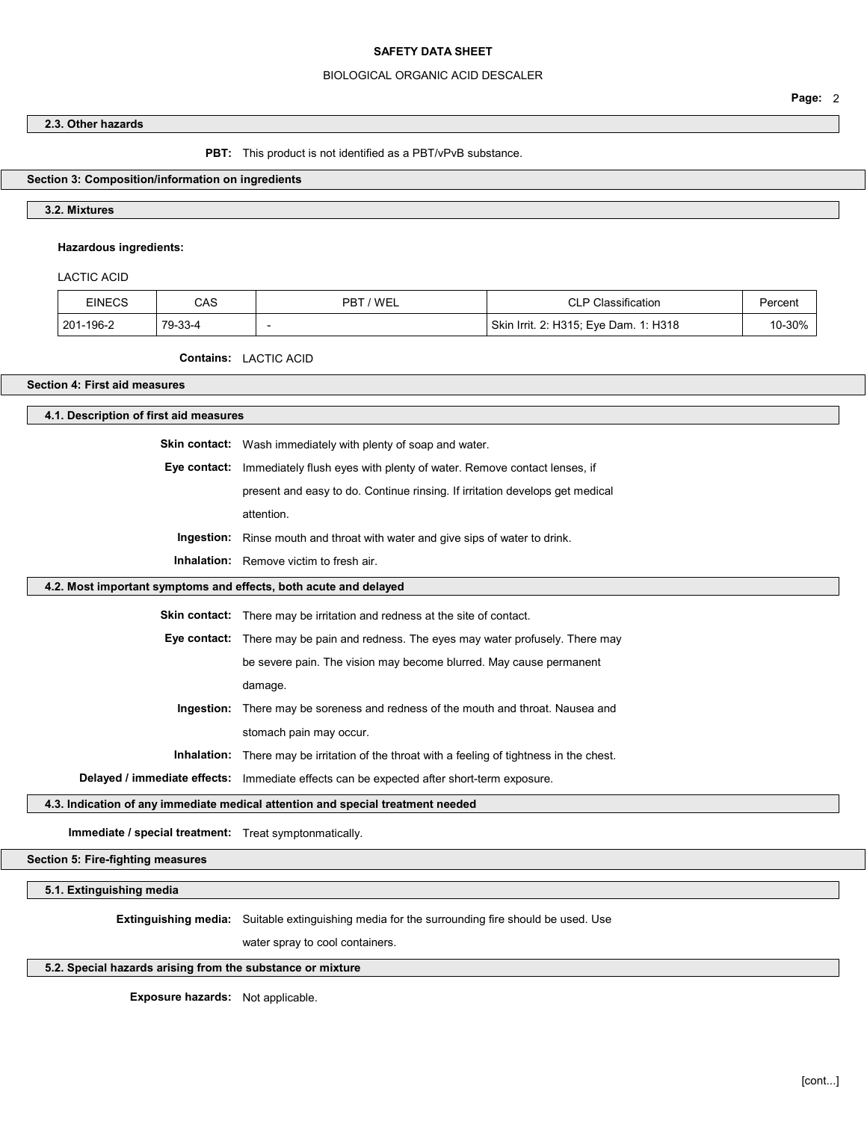#### BIOLOGICAL ORGANIC ACID DESCALER

Page: 2

#### 2.3. Other hazards

PBT: This product is not identified as a PBT/vPvB substance.

## Section 3: Composition/information on ingredients

3.2. Mixtures

## Hazardous ingredients:

LACTIC ACID

| <b>EINECS</b> | CAS     | ' WEL<br>PBT/ | <b>CLP Classification</b>             | Percent |
|---------------|---------|---------------|---------------------------------------|---------|
| 201-196-2     | 79-33-4 |               | Skin Irrit. 2: H315; Eye Dam. 1: H318 | 10-30%  |

#### Contains: LACTIC ACID

## Section 4: First aid measures

4.1. Description of first aid measures

Skin contact: Wash immediately with plenty of soap and water. Eye contact: Immediately flush eyes with plenty of water. Remove contact lenses, if present and easy to do. Continue rinsing. If irritation develops get medical attention. Ingestion: Rinse mouth and throat with water and give sips of water to drink. Inhalation: Remove victim to fresh air.

#### 4.2. Most important symptoms and effects, both acute and delayed

Skin contact: There may be irritation and redness at the site of contact.

Eye contact: There may be pain and redness. The eyes may water profusely. There may

be severe pain. The vision may become blurred. May cause permanent

damage.

Ingestion: There may be soreness and redness of the mouth and throat. Nausea and stomach pain may occur.

Inhalation: There may be irritation of the throat with a feeling of tightness in the chest.

Delayed / immediate effects: Immediate effects can be expected after short-term exposure.

## 4.3. Indication of any immediate medical attention and special treatment needed

Immediate / special treatment: Treat symptonmatically.

Section 5: Fire-fighting measures

5.1. Extinguishing media

Extinguishing media: Suitable extinguishing media for the surrounding fire should be used. Use

water spray to cool containers.

## 5.2. Special hazards arising from the substance or mixture

Exposure hazards: Not applicable.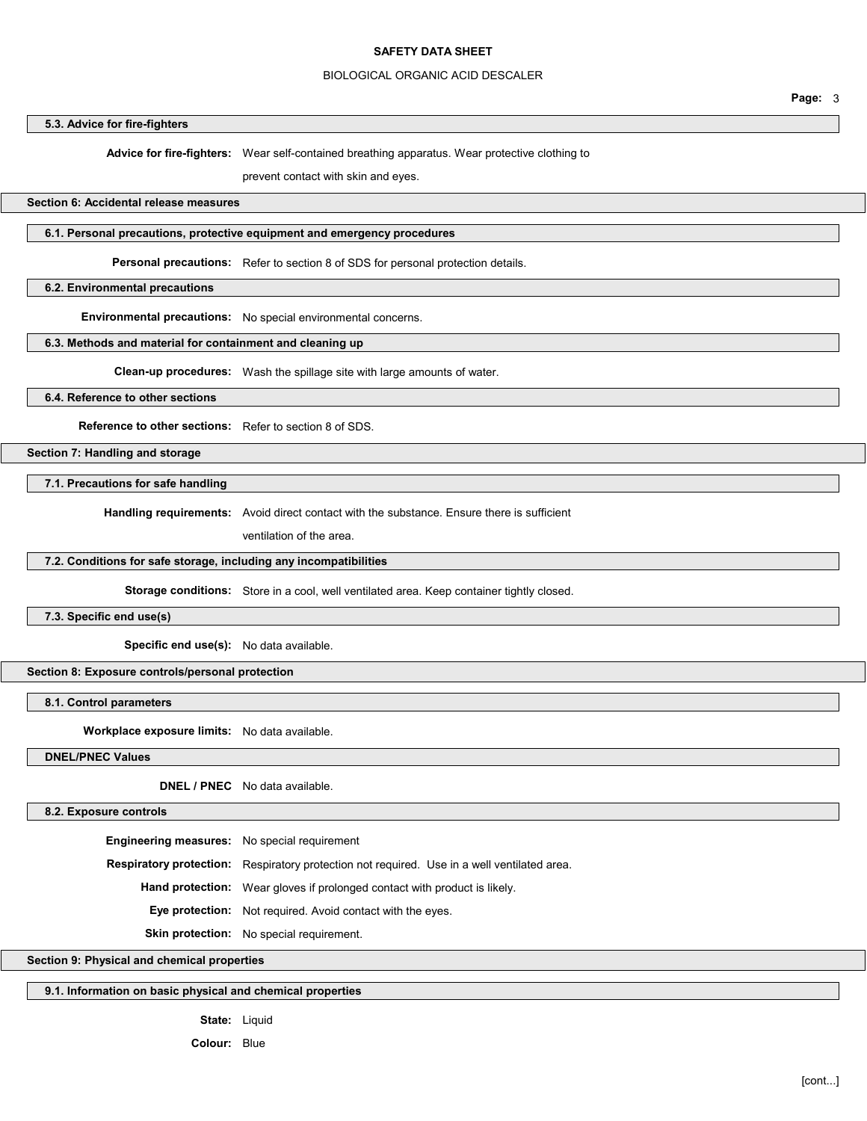## BIOLOGICAL ORGANIC ACID DESCALER

## 5.3. Advice for fire-fighters

Advice for fire-fighters: Wear self-contained breathing apparatus. Wear protective clothing to

prevent contact with skin and eyes.

## Section 6: Accidental release measures

# 6.1. Personal precautions, protective equipment and emergency procedures

Personal precautions: Refer to section 8 of SDS for personal protection details.

6.2. Environmental precautions

Environmental precautions: No special environmental concerns.

#### 6.3. Methods and material for containment and cleaning up

Clean-up procedures: Wash the spillage site with large amounts of water.

6.4. Reference to other sections

Reference to other sections: Refer to section 8 of SDS.

Section 7: Handling and storage

7.1. Precautions for safe handling

Handling requirements: Avoid direct contact with the substance. Ensure there is sufficient

ventilation of the area.

## 7.2. Conditions for safe storage, including any incompatibilities

Storage conditions: Store in a cool, well ventilated area. Keep container tightly closed.

7.3. Specific end use(s)

Specific end use(s): No data available.

Section 8: Exposure controls/personal protection

8.1. Control parameters

Workplace exposure limits: No data available.

DNEL/PNEC Values

DNEL / PNEC No data available.

8.2. Exposure controls

| Engineering measures: No special requirement |                                                                                                    |  |
|----------------------------------------------|----------------------------------------------------------------------------------------------------|--|
|                                              | <b>Respiratory protection:</b> Respiratory protection not required. Use in a well ventilated area. |  |
|                                              | <b>Hand protection:</b> Wear gloves if prolonged contact with product is likely.                   |  |
|                                              | Eye protection: Not required. Avoid contact with the eyes.                                         |  |
|                                              | <b>Skin protection:</b> No special requirement.                                                    |  |

Section 9: Physical and chemical properties

## 9.1. Information on basic physical and chemical properties

State: Liquid

Colour: Blue

Page: 3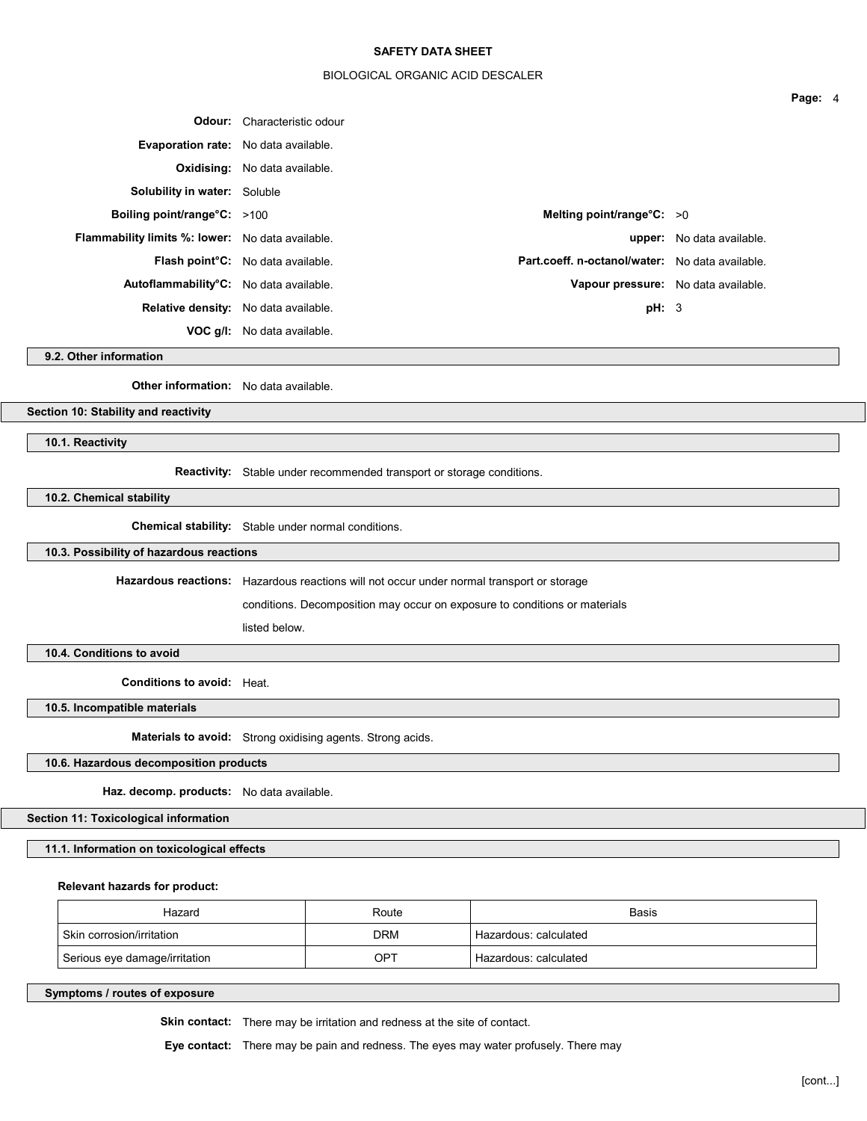## BIOLOGICAL ORGANIC ACID DESCALER

|                                                         |                                          |                                                 |                                  | Page: 4 |  |
|---------------------------------------------------------|------------------------------------------|-------------------------------------------------|----------------------------------|---------|--|
|                                                         | <b>Odour:</b> Characteristic odour       |                                                 |                                  |         |  |
| <b>Evaporation rate:</b> No data available.             |                                          |                                                 |                                  |         |  |
|                                                         | <b>Oxidising:</b> No data available.     |                                                 |                                  |         |  |
| <b>Solubility in water:</b> Soluble                     |                                          |                                                 |                                  |         |  |
| Boiling point/range $C: >100$                           |                                          | Melting point/range $C: >0$                     |                                  |         |  |
| <b>Flammability limits %: lower:</b> No data available. |                                          |                                                 | <b>upper:</b> No data available. |         |  |
|                                                         | <b>Flash point C:</b> No data available. | Part.coeff. n-octanol/water: No data available. |                                  |         |  |
| Autoflammability <sup>°</sup> C: No data available.     |                                          | Vapour pressure: No data available.             |                                  |         |  |
| Relative density: No data available.                    |                                          | pH: 3                                           |                                  |         |  |
|                                                         | <b>VOC g/l:</b> No data available.       |                                                 |                                  |         |  |

9.2. Other information

Other information: No data available.

Section 10: Stability and reactivity

10.1. Reactivity

Reactivity: Stable under recommended transport or storage conditions.

10.2. Chemical stability

Chemical stability: Stable under normal conditions.

10.3. Possibility of hazardous reactions

Hazardous reactions: Hazardous reactions will not occur under normal transport or storage

conditions. Decomposition may occur on exposure to conditions or materials

listed below.

10.4. Conditions to avoid

Conditions to avoid: Heat.

10.5. Incompatible materials

Materials to avoid: Strong oxidising agents. Strong acids.

10.6. Hazardous decomposition products

Haz. decomp. products: No data available.

Section 11: Toxicological information

11.1. Information on toxicological effects

## Relevant hazards for product:

| Hazard                                                        | Route      | Basis                              |
|---------------------------------------------------------------|------------|------------------------------------|
| $^\shortparallel$ Skin corrosion/irritation $^\shortparallel$ | <b>DRM</b> | <sup>1</sup> Hazardous: calculated |
| Serious eye damage/irritation                                 | OPT        | ' Hazardous: calculated            |

Symptoms / routes of exposure

Skin contact: There may be irritation and redness at the site of contact.

Eye contact: There may be pain and redness. The eyes may water profusely. There may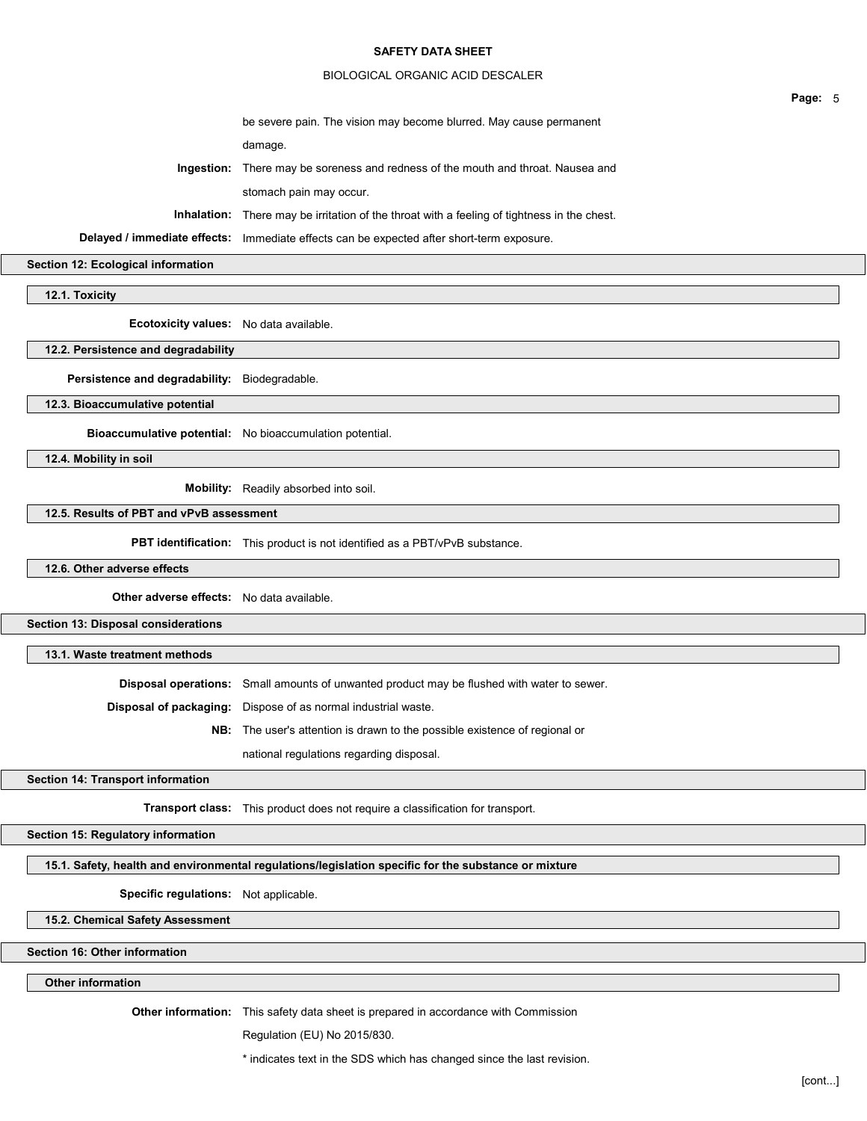## BIOLOGICAL ORGANIC ACID DESCALER

Page: 5 be severe pain. The vision may become blurred. May cause permanent damage. Ingestion: There may be soreness and redness of the mouth and throat. Nausea and stomach pain may occur. Inhalation: There may be irritation of the throat with a feeling of tightness in the chest. Delayed / immediate effects: Immediate effects can be expected after short-term exposure. Section 12: Ecological information 12.1. Toxicity Ecotoxicity values: No data available. 12.2. Persistence and degradability Persistence and degradability: Biodegradable. 12.3. Bioaccumulative potential Bioaccumulative potential: No bioaccumulation potential. 12.4. Mobility in soil Mobility: Readily absorbed into soil. 12.5. Results of PBT and vPvB assessment PBT identification: This product is not identified as a PBT/vPvB substance. 12.6. Other adverse effects

Other adverse effects: No data available.

Section 13: Disposal considerations

13.1. Waste treatment methods

Disposal operations: Small amounts of unwanted product may be flushed with water to sewer.

Disposal of packaging: Dispose of as normal industrial waste.

NB: The user's attention is drawn to the possible existence of regional or

national regulations regarding disposal.

## Section 14: Transport information

Transport class: This product does not require a classification for transport.

Section 15: Regulatory information

15.1. Safety, health and environmental regulations/legislation specific for the substance or mixture

Specific regulations: Not applicable.

15.2. Chemical Safety Assessment

Section 16: Other information

Other information

Other information: This safety data sheet is prepared in accordance with Commission

Regulation (EU) No 2015/830.

\* indicates text in the SDS which has changed since the last revision.